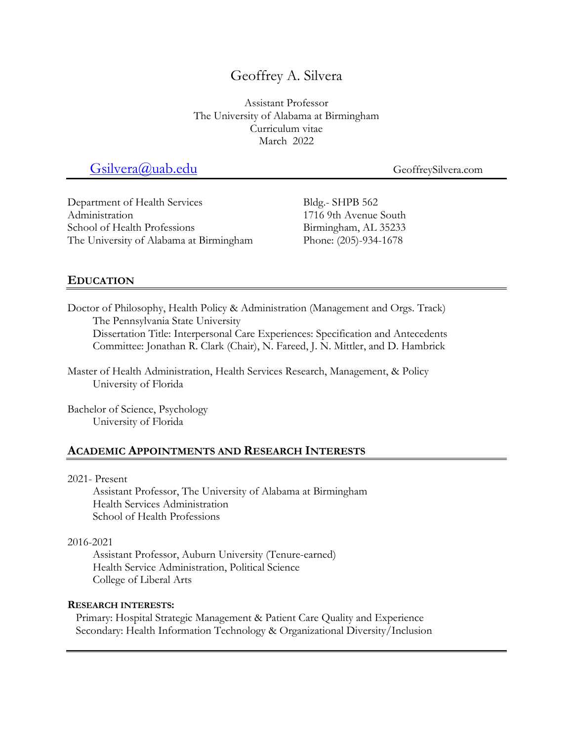# Geoffrey A. Silvera

Assistant Professor The University of Alabama at Birmingham Curriculum vitae March 2022

# Gsilvera@uab.edu GeoffreySilvera.com

Department of Health Services Administration School of Health Professions The University of Alabama at Birmingham Bldg.- SHPB 562 1716 9th Avenue South Birmingham, AL 35233 Phone: (205)-934-1678

## **EDUCATION**

Doctor of Philosophy, Health Policy & Administration (Management and Orgs. Track) The Pennsylvania State University

Dissertation Title: Interpersonal Care Experiences: Specification and Antecedents Committee: Jonathan R. Clark (Chair), N. Fareed, J. N. Mittler, and D. Hambrick

Master of Health Administration, Health Services Research, Management, & Policy University of Florida

Bachelor of Science, Psychology University of Florida

## **ACADEMIC APPOINTMENTS AND RESEARCH INTERESTS**

#### 2021- Present

Assistant Professor, The University of Alabama at Birmingham Health Services Administration School of Health Professions

#### 2016-2021

Assistant Professor, Auburn University (Tenure-earned) Health Service Administration, Political Science College of Liberal Arts

#### **RESEARCH INTERESTS:**

Primary: Hospital Strategic Management & Patient Care Quality and Experience Secondary: Health Information Technology & Organizational Diversity/Inclusion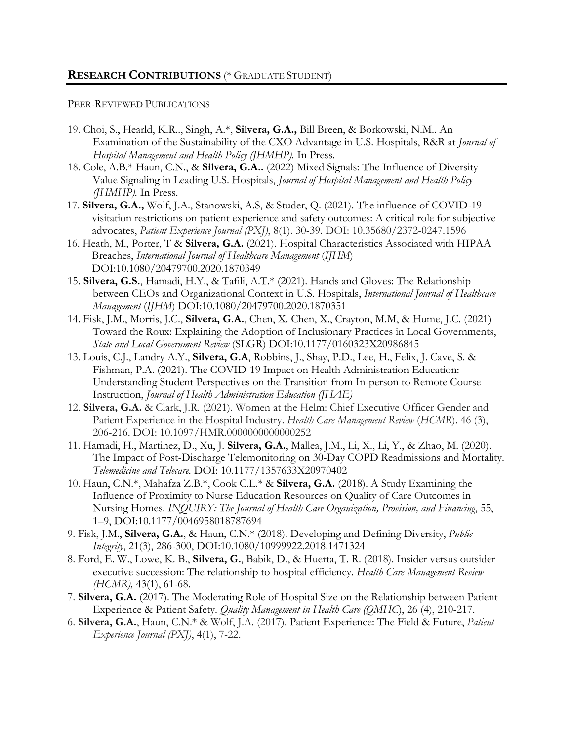#### PEER-REVIEWED PUBLICATIONS

- 19. Choi, S., Hearld, K.R.., Singh, A.\*, **Silvera, G.A.,** Bill Breen, & Borkowski, N.M.. An Examination of the Sustainability of the CXO Advantage in U.S. Hospitals, R&R at *Journal of Hospital Management and Health Policy (JHMHP).* In Press.
- 18. Cole, A.B.\* Haun, C.N., & **Silvera, G.A..** (2022) Mixed Signals: The Influence of Diversity Value Signaling in Leading U.S. Hospitals, *Journal of Hospital Management and Health Policy (JHMHP).* In Press.
- 17. **Silvera, G.A.,** Wolf, J.A., Stanowski, A.S, & Studer, Q. (2021). The influence of COVID-19 visitation restrictions on patient experience and safety outcomes: A critical role for subjective advocates, *Patient Experience Journal (PXJ)*, 8(1). 30-39. DOI: 10.35680/2372-0247.1596
- 16. Heath, M., Porter, T & **Silvera, G.A.** (2021). Hospital Characteristics Associated with HIPAA Breaches, *International Journal of Healthcare Management* (*IJHM*) DOI:10.1080/20479700.2020.1870349
- 15. **Silvera, G.S.**, Hamadi, H.Y., & Tafili, A.T.\* (2021). Hands and Gloves: The Relationship between CEOs and Organizational Context in U.S. Hospitals, *International Journal of Healthcare Management* (*IJHM*) DOI:10.1080/20479700.2020.1870351
- 14. Fisk, J.M., Morris, J.C., **Silvera, G.A.**, Chen, X. Chen, X., Crayton, M.M, & Hume, J.C. (2021) Toward the Roux: Explaining the Adoption of Inclusionary Practices in Local Governments, *State and Local Government Review* (SLGR) DOI:10.1177/0160323X20986845
- 13. Louis, C.J., Landry A.Y., **Silvera, G.A**, Robbins, J., Shay, P.D., Lee, H., Felix, J. Cave, S. & Fishman, P.A. (2021). The COVID-19 Impact on Health Administration Education: Understanding Student Perspectives on the Transition from In-person to Remote Course Instruction, *Journal of Health Administration Education (JHAE)*
- 12. **Silvera, G.A.** & Clark, J.R. (2021). Women at the Helm: Chief Executive Officer Gender and Patient Experience in the Hospital Industry. *Health Care Management Review* (*HCMR*). 46 (3), 206-216. DOI: 10.1097/HMR.0000000000000252
- 11. Hamadi, H., Martinez, D., Xu, J. **Silvera, G.A.**, Mallea, J.M., Li, X., Li, Y., & Zhao, M. (2020). The Impact of Post-Discharge Telemonitoring on 30-Day COPD Readmissions and Mortality. *Telemedicine and Telecare.* DOI: 10.1177/1357633X20970402
- 10. Haun, C.N.\*, Mahafza Z.B.\*, Cook C.L.\* & **Silvera, G.A.** (2018). A Study Examining the Influence of Proximity to Nurse Education Resources on Quality of Care Outcomes in Nursing Homes. *INQUIRY: The Journal of Health Care Organization, Provision, and Financing*, 55, 1–9, DOI:10.1177/0046958018787694
- 9. Fisk, J.M., **Silvera, G.A.**, & Haun, C.N.\* (2018). Developing and Defining Diversity, *Public Integrity*, 21(3), 286-300, DOI:10.1080/10999922.2018.1471324
- 8. Ford, E. W., Lowe, K. B., **Silvera, G.**, Babik, D., & Huerta, T. R. (2018). Insider versus outsider executive succession: The relationship to hospital efficiency. *Health Care Management Review (HCMR),* 43(1), 61-68.
- 7. **Silvera, G.A.** (2017). The Moderating Role of Hospital Size on the Relationship between Patient Experience & Patient Safety. *Quality Management in Health Care (QMHC*), 26 (4), 210-217.
- 6. **Silvera, G.A.**, Haun, C.N.\* & Wolf, J.A. (2017). Patient Experience: The Field & Future, *Patient Experience Journal (PXJ)*, 4(1), 7-22.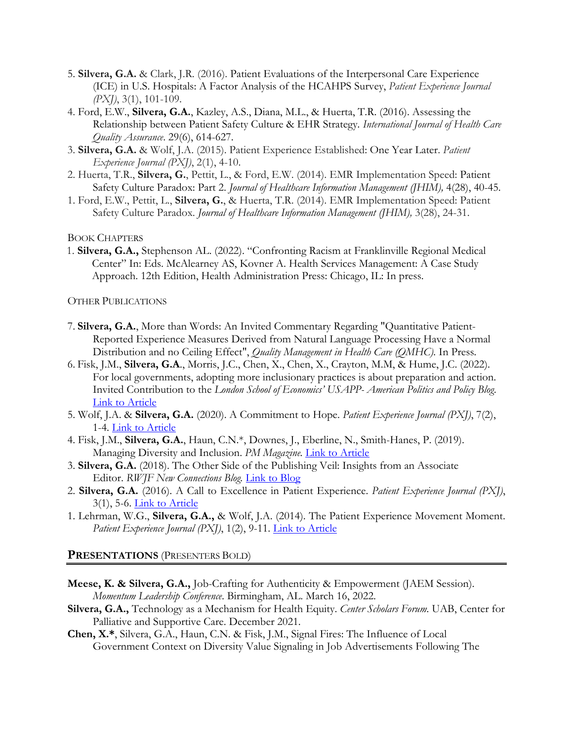- 5. **Silvera, G.A.** & Clark, J.R. (2016). Patient Evaluations of the Interpersonal Care Experience (ICE) in U.S. Hospitals: A Factor Analysis of the HCAHPS Survey, *Patient Experience Journal (PXJ)*, 3(1), 101-109.
- 4. Ford, E.W., **Silvera, G.A.**, Kazley, A.S., Diana, M.L., & Huerta, T.R. (2016). Assessing the Relationship between Patient Safety Culture & EHR Strategy*. International Journal of Health Care Quality Assurance*. 29(6), 614-627.
- 3. **Silvera, G.A.** & Wolf, J.A. (2015). Patient Experience Established: One Year Later. *Patient Experience Journal (PXJ)*, 2(1), 4-10.
- 2. Huerta, T.R., **Silvera, G.**, Pettit, L., & Ford, E.W. (2014). EMR Implementation Speed: Patient Safety Culture Paradox: Part 2. *Journal of Healthcare Information Management (JHIM),* 4(28), 40-45.
- 1. Ford, E.W., Pettit, L., **Silvera, G.**, & Huerta, T.R. (2014). EMR Implementation Speed: Patient Safety Culture Paradox. *Journal of Healthcare Information Management (JHIM),* 3(28), 24-31.

BOOK CHAPTERS

1. **Silvera, G.A.,** Stephenson AL. (2022). "Confronting Racism at Franklinville Regional Medical Center" In: Eds. McAlearney AS, Kovner A. Health Services Management: A Case Study Approach. 12th Edition, Health Administration Press: Chicago, IL: In press.

OTHER PUBLICATIONS

- 7. **Silvera, G.A.**, More than Words: An Invited Commentary Regarding "Quantitative Patient-Reported Experience Measures Derived from Natural Language Processing Have a Normal Distribution and no Ceiling Effect", *Quality Management in Health Care (QMHC).* In Press*.*
- 6. Fisk, J.M., **Silvera, G.A**., Morris, J.C., Chen, X., Chen, X., Crayton, M.M, & Hume, J.C. (2022). For local governments, adopting more inclusionary practices is about preparation and action. Invited Contribution to the *London School of Economics' USAPP- American Politics and Policy Blog*. Link to Article
- 5. Wolf, J.A. & **Silvera, G.A.** (2020). A Commitment to Hope. *Patient Experience Journal (PXJ)*, 7(2), 1-4. Link to Article
- 4. Fisk, J.M., **Silvera, G.A.**, Haun, C.N.\*, Downes, J., Eberline, N., Smith-Hanes, P. (2019). Managing Diversity and Inclusion. *PM Magazine.* Link to Article
- 3. **Silvera, G.A.** (2018). The Other Side of the Publishing Veil: Insights from an Associate Editor. *RWJF New Connections Blog.* Link to Blog
- 2. **Silvera, G.A.** (2016). A Call to Excellence in Patient Experience. *Patient Experience Journal (PXJ)*, 3(1), 5-6. Link to Article
- 1. Lehrman, W.G., **Silvera, G.A.,** & Wolf, J.A. (2014). The Patient Experience Movement Moment. Patient Experience Journal (PXJ), 1(2), 9-11. **Link to Article**

#### **PRESENTATIONS** (PRESENTERS BOLD)

- **Meese, K. & Silvera, G.A.,** Job-Crafting for Authenticity & Empowerment (JAEM Session). *Momentum Leadership Conference*. Birmingham, AL. March 16, 2022.
- **Silvera, G.A.,** Technology as a Mechanism for Health Equity. *Center Scholars Forum.* UAB, Center for Palliative and Supportive Care. December 2021.
- **Chen, X.\***, Silvera, G.A., Haun, C.N. & Fisk, J.M., Signal Fires: The Influence of Local Government Context on Diversity Value Signaling in Job Advertisements Following The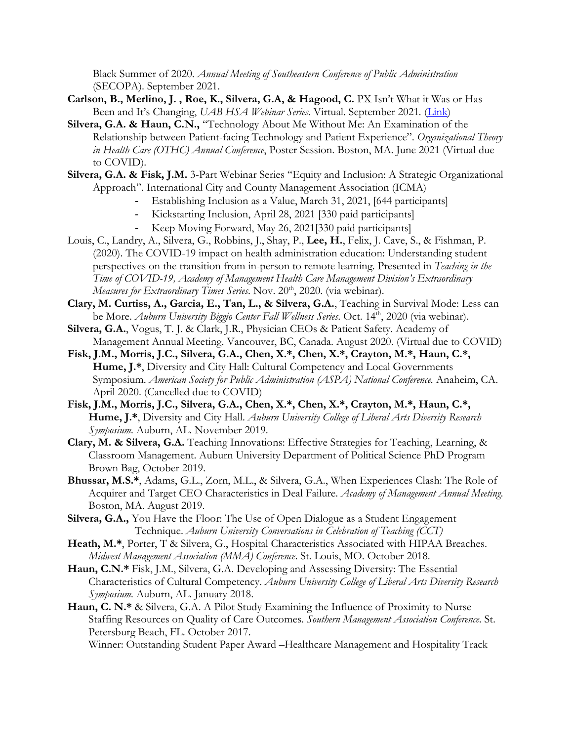Black Summer of 2020. *Annual Meeting of Southeastern Conference of Public Administration* (SECOPA). September 2021.

- Carlson, B., Merlino, J., Roe, K., Silvera, G.A, & Hagood, C. PX Isn't What it Was or Has Been and It's Changing, *UAB HSA Webinar Series.* Virtual. September 2021*.* (Link)
- **Silvera, G.A. & Haun, C.N.,** "Technology About Me Without Me: An Examination of the Relationship between Patient-facing Technology and Patient Experience". *Organizational Theory in Health Care (OTHC) Annual Conference*, Poster Session. Boston, MA. June 2021 (Virtual due to COVID).
- **Silvera, G.A. & Fisk, J.M.** 3-Part Webinar Series "Equity and Inclusion: A Strategic Organizational Approach". International City and County Management Association (ICMA)
	- Establishing Inclusion as a Value, March 31, 2021, [644 participants]
	- Kickstarting Inclusion, April 28, 2021 [330 paid participants]
	- Keep Moving Forward, May 26, 2021[330 paid participants]
- Louis, C., Landry, A., Silvera, G., Robbins, J., Shay, P., **Lee, H.**, Felix, J. Cave, S., & Fishman, P. (2020). The COVID-19 impact on health administration education: Understanding student perspectives on the transition from in-person to remote learning. Presented in *Teaching in the Time of COVID-19, Academy of Management Health Care Management Division's Extraordinary Measures for Extraordinary Times Series*. Nov. 20<sup>th</sup>, 2020. (via webinar).
- **Clary, M. Curtiss, A., Garcia, E., Tan, L., & Silvera, G.A.**, Teaching in Survival Mode: Less can be More. *Auburn University Biggio Center Fall Wellness Series*. Oct. 14<sup>th</sup>, 2020 (via webinar).
- **Silvera, G.A.**, Vogus, T. J. & Clark, J.R., Physician CEOs & Patient Safety. Academy of Management Annual Meeting. Vancouver, BC, Canada. August 2020. (Virtual due to COVID)
- **Fisk, J.M., Morris, J.C., Silvera, G.A., Chen, X.\*, Chen, X.\*, Crayton, M.\*, Haun, C.\*, Hume, J.\***, Diversity and City Hall: Cultural Competency and Local Governments Symposium. *American Society for Public Administration (ASPA) National Conference.* Anaheim, CA. April 2020. (Cancelled due to COVID)
- **Fisk, J.M., Morris, J.C., Silvera, G.A., Chen, X.\*, Chen, X.\*, Crayton, M.\*, Haun, C.\*, Hume, J.\***, Diversity and City Hall. *Auburn University College of Liberal Arts Diversity Research Symposium.* Auburn, AL. November 2019.
- **Clary, M. & Silvera, G.A.** Teaching Innovations: Effective Strategies for Teaching, Learning, & Classroom Management. Auburn University Department of Political Science PhD Program Brown Bag, October 2019.
- **Bhussar, M.S.\***, Adams, G.L., Zorn, M.L., & Silvera, G.A., When Experiences Clash: The Role of Acquirer and Target CEO Characteristics in Deal Failure. *Academy of Management Annual Meeting*. Boston, MA. August 2019.
- **Silvera, G.A.,** You Have the Floor: The Use of Open Dialogue as a Student Engagement Technique. *Auburn University Conversations in Celebration of Teaching (CCT)*
- Heath, M.\*, Porter, T & Silvera, G., Hospital Characteristics Associated with HIPAA Breaches. *Midwest Management Association (MMA) Conference*. St. Louis, MO. October 2018.
- **Haun, C.N.\*** Fisk, J.M., Silvera, G.A. Developing and Assessing Diversity: The Essential Characteristics of Cultural Competency. *Auburn University College of Liberal Arts Diversity Research Symposium.* Auburn, AL. January 2018.
- **Haun, C. N.\*** & Silvera, G.A. A Pilot Study Examining the Influence of Proximity to Nurse Staffing Resources on Quality of Care Outcomes. *Southern Management Association Conference*. St. Petersburg Beach, FL. October 2017.

Winner: Outstanding Student Paper Award –Healthcare Management and Hospitality Track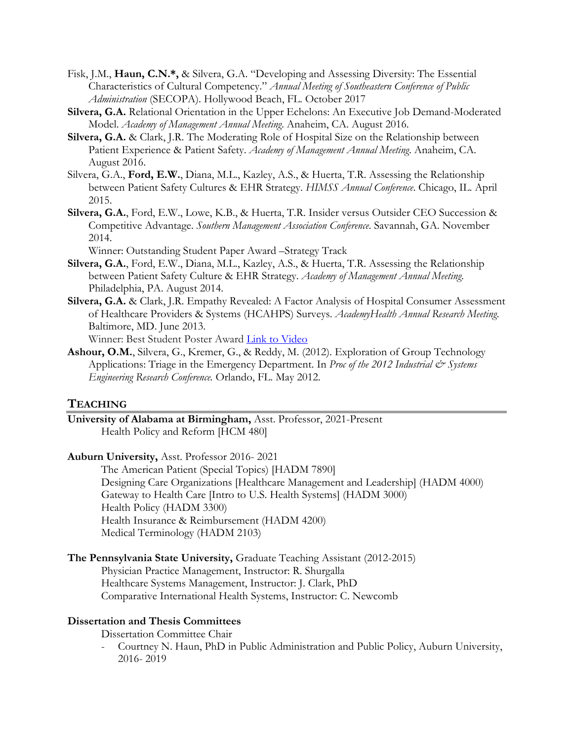- Fisk, J.M., **Haun, C.N.\*,** & Silvera, G.A. "Developing and Assessing Diversity: The Essential Characteristics of Cultural Competency." *Annual Meeting of Southeastern Conference of Public Administration* (SECOPA). Hollywood Beach, FL. October 2017
- **Silvera, G.A.** Relational Orientation in the Upper Echelons: An Executive Job Demand-Moderated Model. *Academy of Management Annual Meeting*. Anaheim, CA. August 2016.
- **Silvera, G.A.** & Clark, J.R. The Moderating Role of Hospital Size on the Relationship between Patient Experience & Patient Safety. *Academy of Management Annual Meeting*. Anaheim, CA. August 2016.
- Silvera, G.A., **Ford, E.W.**, Diana, M.L., Kazley, A.S., & Huerta, T.R. Assessing the Relationship between Patient Safety Cultures & EHR Strategy. *HIMSS Annual Conference*. Chicago, IL. April 2015.
- **Silvera, G.A.**, Ford, E.W., Lowe, K.B., & Huerta, T.R. Insider versus Outsider CEO Succession & Competitive Advantage. *Southern Management Association Conference*. Savannah, GA. November 2014.

Winner: Outstanding Student Paper Award –Strategy Track

- **Silvera, G.A.**, Ford, E.W., Diana, M.L., Kazley, A.S., & Huerta, T.R. Assessing the Relationship between Patient Safety Culture & EHR Strategy. *Academy of Management Annual Meeting*. Philadelphia, PA. August 2014.
- **Silvera, G.A.** & Clark, J.R. Empathy Revealed: A Factor Analysis of Hospital Consumer Assessment of Healthcare Providers & Systems (HCAHPS) Surveys. *AcademyHealth Annual Research Meeting*. Baltimore, MD. June 2013.

Winner: Best Student Poster Award Link to Video

**Ashour, O.M.**, Silvera, G., Kremer, G., & Reddy, M. (2012). Exploration of Group Technology Applications: Triage in the Emergency Department. In *Proc of the 2012 Industrial*  $\mathcal{Q}$  Systems *Engineering Research Conference.* Orlando, FL. May 2012.

#### **TEACHING**

**University of Alabama at Birmingham,** Asst. Professor, 2021-Present Health Policy and Reform [HCM 480]

**Auburn University,** Asst. Professor 2016- 2021

The American Patient (Special Topics) [HADM 7890] Designing Care Organizations [Healthcare Management and Leadership] (HADM 4000) Gateway to Health Care [Intro to U.S. Health Systems] (HADM 3000) Health Policy (HADM 3300) Health Insurance & Reimbursement (HADM 4200) Medical Terminology (HADM 2103)

**The Pennsylvania State University,** Graduate Teaching Assistant (2012-2015)

Physician Practice Management, Instructor: R. Shurgalla Healthcare Systems Management, Instructor: J. Clark, PhD Comparative International Health Systems, Instructor: C. Newcomb

#### **Dissertation and Thesis Committees**

Dissertation Committee Chair

- Courtney N. Haun, PhD in Public Administration and Public Policy, Auburn University, 2016- 2019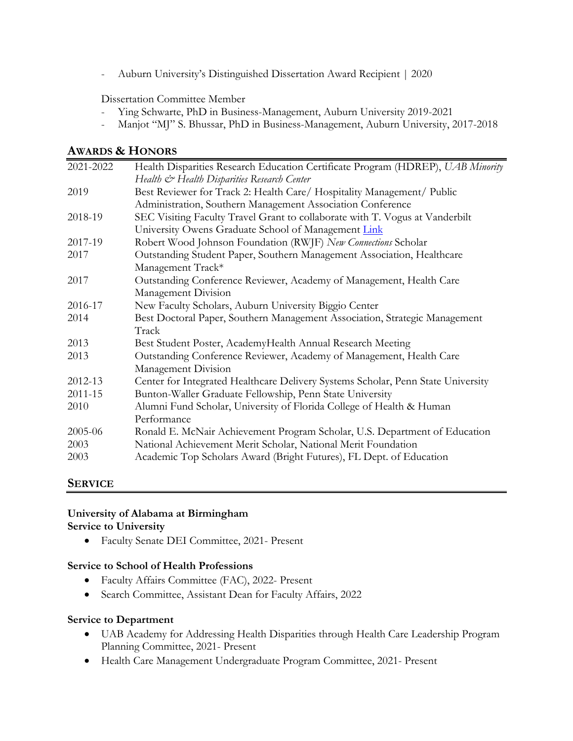- Auburn University's Distinguished Dissertation Award Recipient | 2020

Dissertation Committee Member

- Ying Schwarte, PhD in Business-Management, Auburn University 2019-2021
- Manjot "MJ" S. Bhussar, PhD in Business-Management, Auburn University, 2017-2018

## **AWARDS & HONORS**

| 2021-2022 | Health Disparities Research Education Certificate Program (HDREP), UAB Minority  |
|-----------|----------------------------------------------------------------------------------|
|           | Health & Health Disparities Research Center                                      |
| 2019      | Best Reviewer for Track 2: Health Care/ Hospitality Management/ Public           |
|           | Administration, Southern Management Association Conference                       |
| 2018-19   | SEC Visiting Faculty Travel Grant to collaborate with T. Vogus at Vanderbilt     |
|           | University Owens Graduate School of Management Link                              |
| 2017-19   | Robert Wood Johnson Foundation (RWJF) New Connections Scholar                    |
| 2017      | Outstanding Student Paper, Southern Management Association, Healthcare           |
|           | Management Track*                                                                |
| 2017      | Outstanding Conference Reviewer, Academy of Management, Health Care              |
|           | Management Division                                                              |
| 2016-17   | New Faculty Scholars, Auburn University Biggio Center                            |
| 2014      | Best Doctoral Paper, Southern Management Association, Strategic Management       |
|           | Track                                                                            |
| 2013      | Best Student Poster, AcademyHealth Annual Research Meeting                       |
| 2013      | Outstanding Conference Reviewer, Academy of Management, Health Care              |
|           | Management Division                                                              |
| 2012-13   | Center for Integrated Healthcare Delivery Systems Scholar, Penn State University |
| 2011-15   | Bunton-Waller Graduate Fellowship, Penn State University                         |
| 2010      | Alumni Fund Scholar, University of Florida College of Health & Human             |
|           | Performance                                                                      |
| 2005-06   | Ronald E. McNair Achievement Program Scholar, U.S. Department of Education       |
| 2003      | National Achievement Merit Scholar, National Merit Foundation                    |
| 2003      | Academic Top Scholars Award (Bright Futures), FL Dept. of Education              |

## **SERVICE**

#### **University of Alabama at Birmingham Service to University**

• Faculty Senate DEI Committee, 2021- Present

#### **Service to School of Health Professions**

- Faculty Affairs Committee (FAC), 2022- Present
- Search Committee, Assistant Dean for Faculty Affairs, 2022

#### **Service to Department**

- UAB Academy for Addressing Health Disparities through Health Care Leadership Program Planning Committee, 2021- Present
- Health Care Management Undergraduate Program Committee, 2021- Present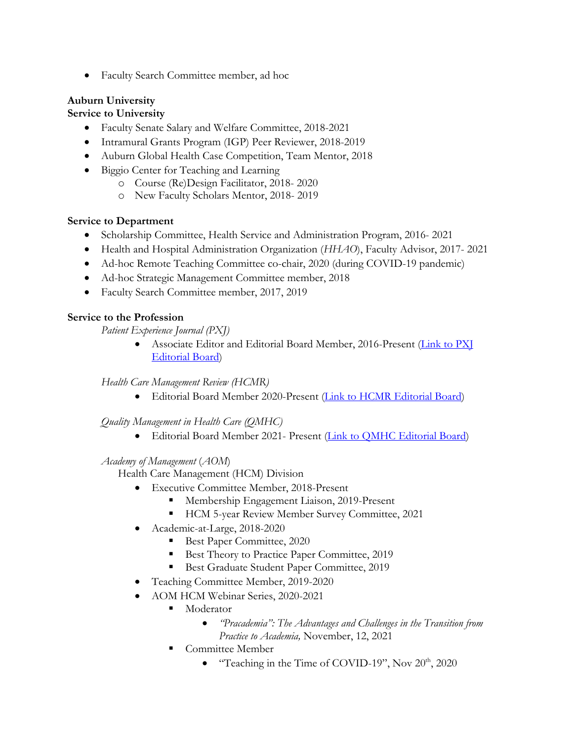• Faculty Search Committee member, ad hoc

# **Auburn University**

## **Service to University**

- Faculty Senate Salary and Welfare Committee, 2018-2021
- Intramural Grants Program (IGP) Peer Reviewer, 2018-2019
- Auburn Global Health Case Competition, Team Mentor, 2018
- Biggio Center for Teaching and Learning
	- o Course (Re)Design Facilitator, 2018- 2020
	- o New Faculty Scholars Mentor, 2018- 2019

## **Service to Department**

- Scholarship Committee, Health Service and Administration Program, 2016- 2021
- Health and Hospital Administration Organization (*HHAO*), Faculty Advisor, 2017- 2021
- Ad-hoc Remote Teaching Committee co-chair, 2020 (during COVID-19 pandemic)
- Ad-hoc Strategic Management Committee member, 2018
- Faculty Search Committee member, 2017, 2019

## **Service to the Profession**

*Patient Experience Journal (PXJ)*

• Associate Editor and Editorial Board Member, 2016-Present (Link to PXJ Editorial Board)

## *Health Care Management Review (HCMR)*

• Editorial Board Member 2020-Present (Link to HCMR Editorial Board)

## *Quality Management in Health Care (QMHC)*

• Editorial Board Member 2021- Present (Link to QMHC Editorial Board)

## *Academy of Management* (*AOM*)

Health Care Management (HCM) Division

- Executive Committee Member, 2018-Present
	- Membership Engagement Liaison, 2019-Present
	- HCM 5-year Review Member Survey Committee, 2021
- Academic-at-Large, 2018-2020
	- Best Paper Committee, 2020
	- § Best Theory to Practice Paper Committee, 2019
	- Best Graduate Student Paper Committee, 2019
- Teaching Committee Member, 2019-2020
- AOM HCM Webinar Series, 2020-2021
	- Moderator
		- *"Pracademia": The Advantages and Challenges in the Transition from Practice to Academia,* November, 12, 2021
	- Committee Member
		- "Teaching in the Time of COVID-19", Nov  $20<sup>th</sup>$ ,  $2020$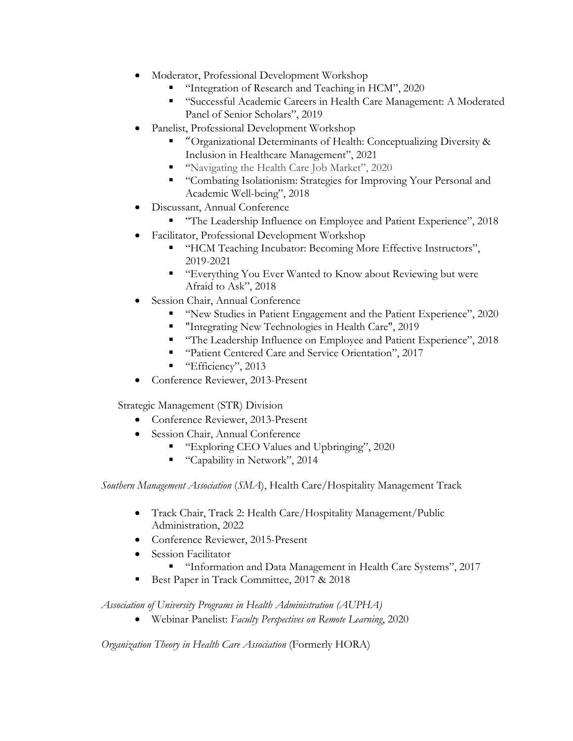- Moderator, Professional Development Workshop
	- § "Integration of Research and Teaching in HCM", 2020
	- "Successful Academic Careers in Health Care Management: A Moderated Panel of Senior Scholars", 2019
- Panelist, Professional Development Workshop
	- § "Organizational Determinants of Health: Conceptualizing Diversity & Inclusion in Healthcare Management", 2021
	- "Navigating the Health Care Job Market", 2020
	- § "Combating Isolationism: Strategies for Improving Your Personal and Academic Well-being", 2018
- Discussant, Annual Conference
	- "The Leadership Influence on Employee and Patient Experience", 2018
- Facilitator, Professional Development Workshop
	- "HCM Teaching Incubator: Becoming More Effective Instructors", 2019-2021
	- "Everything You Ever Wanted to Know about Reviewing but were Afraid to Ask", 2018
- Session Chair, Annual Conference
	- § "New Studies in Patient Engagement and the Patient Experience", 2020
	- "Integrating New Technologies in Health Care", 2019
	- "The Leadership Influence on Employee and Patient Experience", 2018
	- "Patient Centered Care and Service Orientation", 2017
	- "Efficiency", 2013
- Conference Reviewer, 2013-Present

Strategic Management (STR) Division

- Conference Reviewer, 2013-Present
- Session Chair, Annual Conference
	- "Exploring CEO Values and Upbringing", 2020
	- "Capability in Network", 2014

*Southern Management Association* (*SMA*), Health Care/Hospitality Management Track

- Track Chair, Track 2: Health Care/Hospitality Management/Public Administration, 2022
- Conference Reviewer, 2015-Present
- Session Facilitator
	- § "Information and Data Management in Health Care Systems", 2017
- § Best Paper in Track Committee, 2017 & 2018

*Association of University Programs in Health Administration (AUPHA)*

• Webinar Panelist: *Faculty Perspectives on Remote Learning*, 2020

*Organization Theory in Health Care Association* (Formerly HORA)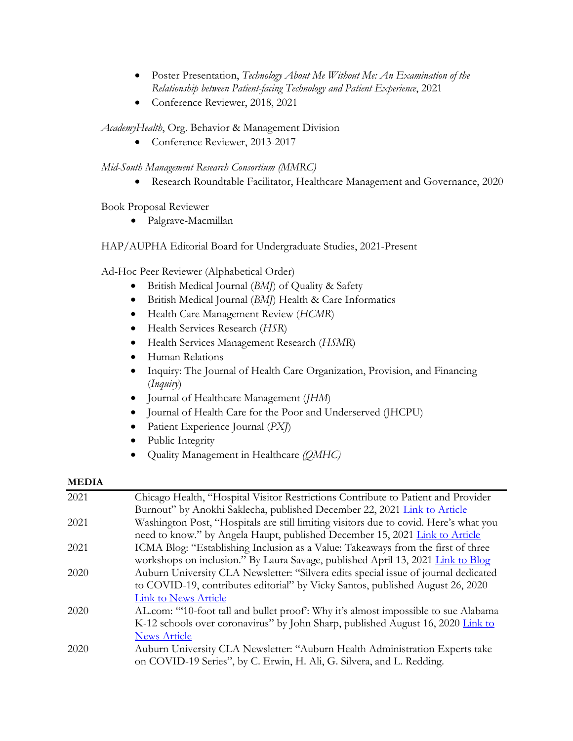- Poster Presentation, *Technology About Me Without Me: An Examination of the Relationship between Patient-facing Technology and Patient Experience*, 2021
- Conference Reviewer, 2018, 2021

*AcademyHealth*, Org. Behavior & Management Division

• Conference Reviewer, 2013-2017

*Mid-South Management Research Consortium (MMRC)*

• Research Roundtable Facilitator, Healthcare Management and Governance, 2020

Book Proposal Reviewer

• Palgrave-Macmillan

HAP/AUPHA Editorial Board for Undergraduate Studies, 2021-Present

Ad-Hoc Peer Reviewer (Alphabetical Order)

- British Medical Journal (*BMJ*) of Quality & Safety
- British Medical Journal (*BMJ*) Health & Care Informatics
- Health Care Management Review (*HCMR*)
- Health Services Research (*HSR*)
- Health Services Management Research (*HSMR*)
- Human Relations
- Inquiry: The Journal of Health Care Organization, Provision, and Financing (*Inquiry*)
- Journal of Healthcare Management (*JHM*)
- Journal of Health Care for the Poor and Underserved (JHCPU)
- Patient Experience Journal (*PXJ*)
- Public Integrity
- Quality Management in Healthcare *(QMHC)*

#### **MEDIA**

| 2021 | Chicago Health, "Hospital Visitor Restrictions Contribute to Patient and Provider     |
|------|---------------------------------------------------------------------------------------|
|      | Burnout" by Anokhi Saklecha, published December 22, 2021 Link to Article              |
| 2021 | Washington Post, "Hospitals are still limiting visitors due to covid. Here's what you |
|      | need to know." by Angela Haupt, published December 15, 2021 Link to Article           |
| 2021 | ICMA Blog: "Establishing Inclusion as a Value: Takeaways from the first of three      |
|      | workshops on inclusion." By Laura Savage, published April 13, 2021 Link to Blog       |
| 2020 | Auburn University CLA Newsletter: "Silvera edits special issue of journal dedicated   |
|      | to COVID-19, contributes editorial" by Vicky Santos, published August 26, 2020        |
|      | <b>Link to News Article</b>                                                           |
| 2020 | AL.com: "10-foot tall and bullet proof: Why it's almost impossible to sue Alabama     |
|      | K-12 schools over coronavirus" by John Sharp, published August 16, 2020 Link to       |
|      | <b>News Article</b>                                                                   |
| 2020 | Auburn University CLA Newsletter: "Auburn Health Administration Experts take          |
|      | on COVID-19 Series", by C. Erwin, H. Ali, G. Silvera, and L. Redding.                 |